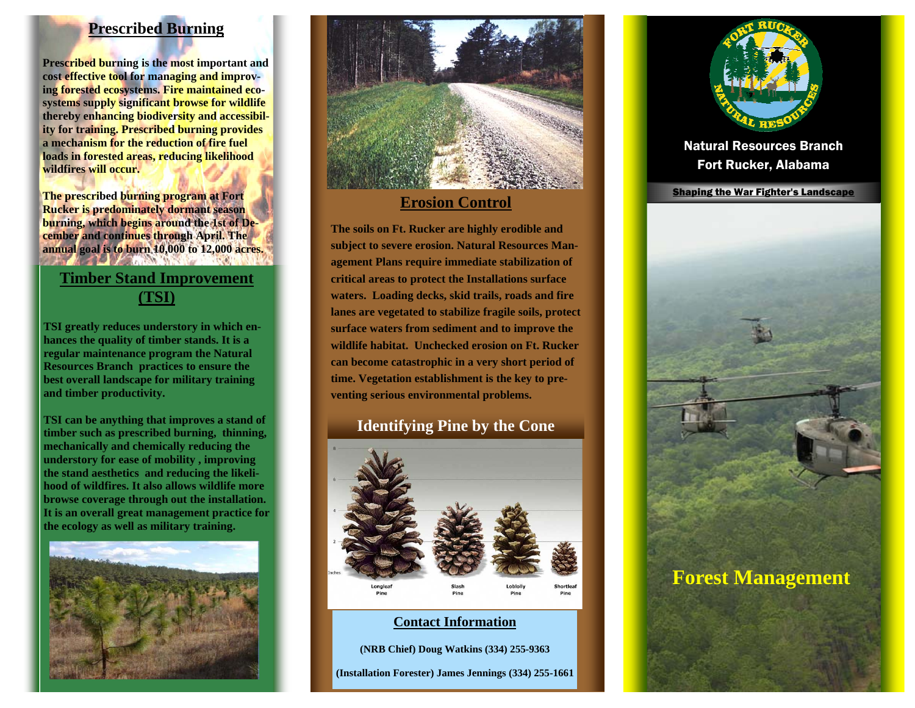# **Prescribed Burning**

**Prescribed burning is the most important and cost effective tool for managing and improving forested ecosystems. Fire maintained ecosystems supply significant browse for wildlife thereby enhancing biodiversity and accessibility for training. Prescribed burning provides a mechanism for the reduction of fire fuel loads in forested areas, reducing likelihood wildfires will occur.** 

**The prescribed burning program at Fort Rucker is predominately dormant season burning, which begins around the 1st of December and continues through April. The annual goal is to burn 10,000 to 12,000 acres.** 

# **Timber Stand Improvement (TSI)**

**TSI greatly reduces understory in which enhances the quality of timber stands. It is a regular maintenance program the Natural Resources Branch practices to ensure the best overall landscape for military training and timber productivity.** 

**TSI can be anything that improves a stand of timber such as prescribed burning, thinning, mechanically and chemically reducing the understory for ease of mobility , improving the stand aesthetics and reducing the likelihood of wildfires. It also allows wildlife more browse coverage through out the installation. It is an overall great management practice for the ecology as well as military training.** 





**The soils on Ft. Rucker are highly erodible and subject to severe erosion. Natural Resources Management Plans require immediate stabilization of critical areas to protect the Installations surface waters. Loading decks, skid trails, roads and fire lanes are vegetated to stabilize fragile soils, protect surface waters from sediment and to improve the wildlife habitat. Unchecked erosion on Ft. Rucker can become catastrophic in a very short period of time. Vegetation establishment is the key to preventing serious environmental problems.** 

# **Identifying Pine by the Cone**



#### **Contact Information**

**(NRB Chief) Doug Watkins (334) 255-9363** 

**(Installation Forester) James Jennings (334) 255-1661** 



Natural Resources Branch Fort Rucker, Alabama